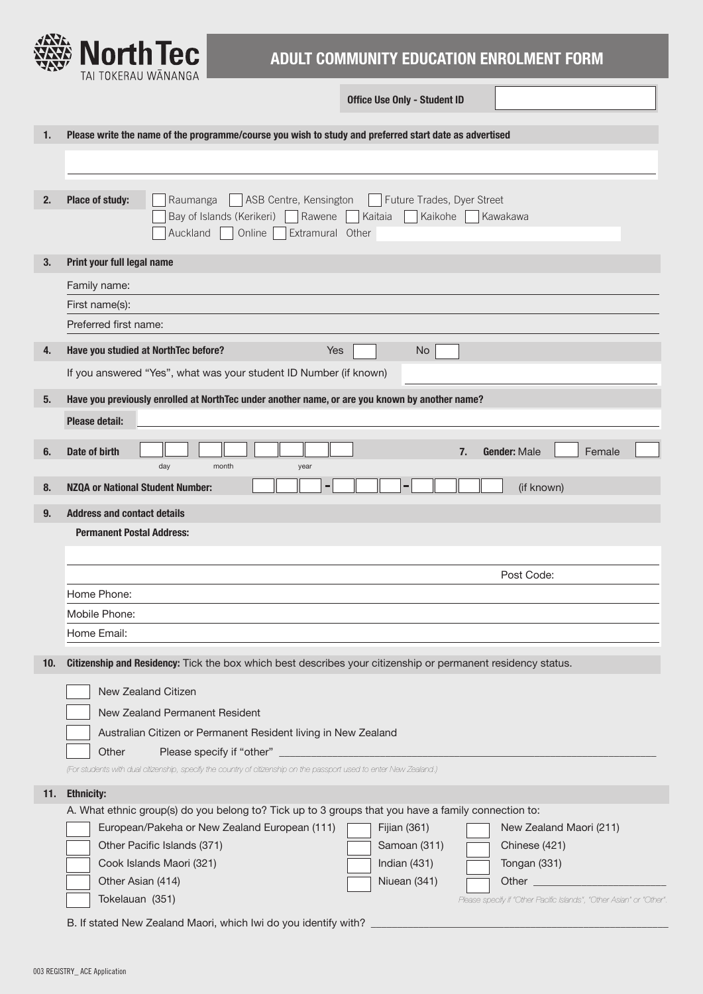

## **ADULT COMMUNITY EDUCATION ENROLMENT FORM**

**Office Use Only - Student ID**

| 1.  |                                                                                                                          |  |  |  |  |  |  |  |
|-----|--------------------------------------------------------------------------------------------------------------------------|--|--|--|--|--|--|--|
|     | Please write the name of the programme/course you wish to study and preferred start date as advertised                   |  |  |  |  |  |  |  |
|     |                                                                                                                          |  |  |  |  |  |  |  |
|     |                                                                                                                          |  |  |  |  |  |  |  |
| 2.  | Place of study:<br>ASB Centre, Kensington<br>Future Trades, Dyer Street<br>Raumanga                                      |  |  |  |  |  |  |  |
|     | Bay of Islands (Kerikeri) Rawene<br>Kaitaia<br>Kaikohe<br>Kawakawa                                                       |  |  |  |  |  |  |  |
|     | Auckland  <br>Online<br>Extramural Other                                                                                 |  |  |  |  |  |  |  |
|     |                                                                                                                          |  |  |  |  |  |  |  |
| 3.  | Print your full legal name                                                                                               |  |  |  |  |  |  |  |
|     | Family name:                                                                                                             |  |  |  |  |  |  |  |
|     | First name(s):                                                                                                           |  |  |  |  |  |  |  |
|     | Preferred first name:                                                                                                    |  |  |  |  |  |  |  |
| 4.  | Have you studied at NorthTec before?<br><b>Yes</b><br><b>No</b>                                                          |  |  |  |  |  |  |  |
|     | If you answered "Yes", what was your student ID Number (if known)                                                        |  |  |  |  |  |  |  |
|     |                                                                                                                          |  |  |  |  |  |  |  |
| 5.  | Have you previously enrolled at NorthTec under another name, or are you known by another name?                           |  |  |  |  |  |  |  |
|     | <b>Please detail:</b>                                                                                                    |  |  |  |  |  |  |  |
|     |                                                                                                                          |  |  |  |  |  |  |  |
| 6.  | Date of birth<br>Gender: Male<br>7.<br>Female<br>day<br>month<br>year                                                    |  |  |  |  |  |  |  |
| 8.  | <b>NZQA or National Student Number:</b><br>Е<br>(if known)                                                               |  |  |  |  |  |  |  |
|     |                                                                                                                          |  |  |  |  |  |  |  |
| 9.  | <b>Address and contact details</b>                                                                                       |  |  |  |  |  |  |  |
|     | <b>Permanent Postal Address:</b>                                                                                         |  |  |  |  |  |  |  |
|     |                                                                                                                          |  |  |  |  |  |  |  |
|     | Post Code:                                                                                                               |  |  |  |  |  |  |  |
|     | Home Phone:                                                                                                              |  |  |  |  |  |  |  |
|     | Mobile Phone:                                                                                                            |  |  |  |  |  |  |  |
|     | Home Email:                                                                                                              |  |  |  |  |  |  |  |
|     |                                                                                                                          |  |  |  |  |  |  |  |
|     |                                                                                                                          |  |  |  |  |  |  |  |
| 10. | Citizenship and Residency: Tick the box which best describes your citizenship or permanent residency status.             |  |  |  |  |  |  |  |
|     | New Zealand Citizen                                                                                                      |  |  |  |  |  |  |  |
|     | New Zealand Permanent Resident                                                                                           |  |  |  |  |  |  |  |
|     | Australian Citizen or Permanent Resident living in New Zealand                                                           |  |  |  |  |  |  |  |
|     | Other                                                                                                                    |  |  |  |  |  |  |  |
|     | (For students with dual citizenship, specify the country of citizenship on the passport used to enter New Zealand.)      |  |  |  |  |  |  |  |
|     |                                                                                                                          |  |  |  |  |  |  |  |
| 11. | <b>Ethnicity:</b><br>A. What ethnic group(s) do you belong to? Tick up to 3 groups that you have a family connection to: |  |  |  |  |  |  |  |
|     | European/Pakeha or New Zealand European (111)<br>Fijian (361)<br>New Zealand Maori (211)                                 |  |  |  |  |  |  |  |
|     | Other Pacific Islands (371)<br>Samoan (311)<br>Chinese (421)                                                             |  |  |  |  |  |  |  |
|     | Cook Islands Maori (321)<br>Tongan (331)<br>Indian $(431)$                                                               |  |  |  |  |  |  |  |
|     | Other Asian (414)<br>Niuean (341)<br>Other<br><u> 1990 - Jan Barnett, fransk politiker (</u>                             |  |  |  |  |  |  |  |
|     | Tokelauan (351)<br>Please specify if "Other Pacific Islands", "Other Asian" or "Other"                                   |  |  |  |  |  |  |  |